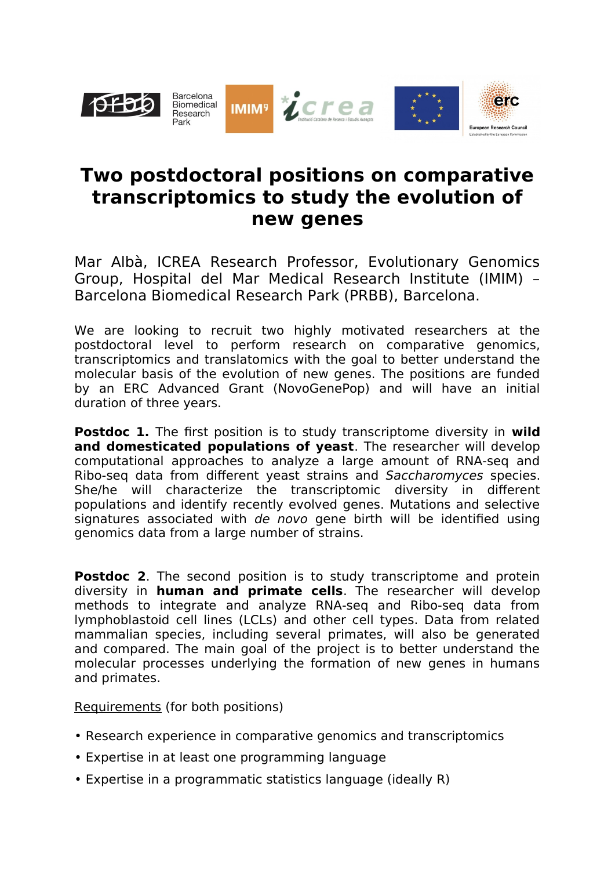

## **Two postdoctoral positions on comparative transcriptomics to study the evolution of new genes**

Mar Albà, ICREA Research Professor, Evolutionary Genomics Group, Hospital del Mar Medical Research Institute (IMIM) – Barcelona Biomedical Research Park (PRBB), Barcelona.

We are looking to recruit two highly motivated researchers at the postdoctoral level to perform research on comparative genomics, transcriptomics and translatomics with the goal to better understand the molecular basis of the evolution of new genes. The positions are funded by an ERC Advanced Grant (NovoGenePop) and will have an initial duration of three years.

**Postdoc 1.** The first position is to study transcriptome diversity in **wild and domesticated populations of yeast**. The researcher will develop computational approaches to analyze a large amount of RNA-seq and Ribo-seq data from different yeast strains and Saccharomyces species. She/he will characterize the transcriptomic diversity in different populations and identify recently evolved genes. Mutations and selective signatures associated with de novo gene birth will be identified using genomics data from a large number of strains.

**Postdoc 2.** The second position is to study transcriptome and protein diversity in **human and primate cells**. The researcher will develop methods to integrate and analyze RNA-seq and Ribo-seq data from lymphoblastoid cell lines (LCLs) and other cell types. Data from related mammalian species, including several primates, will also be generated and compared. The main goal of the project is to better understand the molecular processes underlying the formation of new genes in humans and primates.

Requirements (for both positions)

- Research experience in comparative genomics and transcriptomics
- Expertise in at least one programming language
- Expertise in a programmatic statistics language (ideally R)